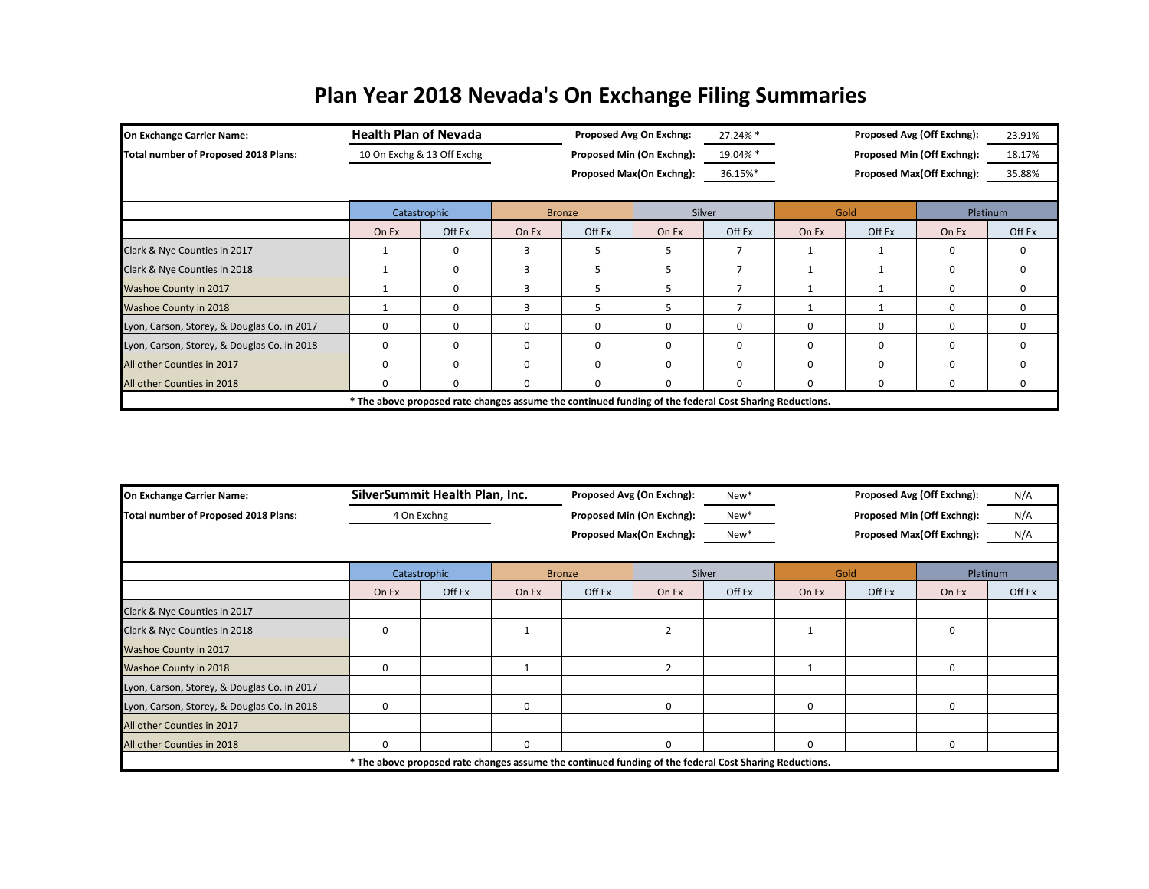| <b>On Exchange Carrier Name:</b>            |                            | <b>Health Plan of Nevada</b> |          |                                              | <b>Proposed Avg On Exchng:</b>                                                                         | 27.24% * |                                   | 23.91%      |                                  |          |  |
|---------------------------------------------|----------------------------|------------------------------|----------|----------------------------------------------|--------------------------------------------------------------------------------------------------------|----------|-----------------------------------|-------------|----------------------------------|----------|--|
| Total number of Proposed 2018 Plans:        | 10 On Exchg & 13 Off Exchg |                              |          | <b>Proposed Min (On Exchng):</b><br>19.04% * |                                                                                                        |          | <b>Proposed Min (Off Exchng):</b> |             |                                  | 18.17%   |  |
|                                             |                            |                              |          |                                              | <b>Proposed Max(On Exchng):</b>                                                                        | 36.15%*  |                                   |             | <b>Proposed Max(Off Exchng):</b> | 35.88%   |  |
|                                             |                            |                              |          |                                              |                                                                                                        |          |                                   |             |                                  |          |  |
|                                             |                            | Catastrophic                 |          | <b>Bronze</b>                                |                                                                                                        | Silver   |                                   | Gold        |                                  | Platinum |  |
|                                             | On Ex                      | Off Ex                       | On Ex    | Off Ex                                       | On Ex                                                                                                  | Off Ex   | On Ex                             | Off Ex      | On Ex                            | Off Ex   |  |
| Clark & Nye Counties in 2017                |                            | $\mathbf{0}$                 | 3        | 5                                            | 5                                                                                                      |          |                                   |             | 0                                | 0        |  |
| Clark & Nye Counties in 2018                |                            | 0                            | 3        | ר                                            | 5                                                                                                      |          |                                   |             | 0                                | 0        |  |
| <b>Washoe County in 2017</b>                |                            | $\mathbf 0$                  | 3        | 5                                            | 5                                                                                                      |          |                                   |             | 0                                | 0        |  |
| <b>Washoe County in 2018</b>                |                            | $\mathbf{0}$                 | 3        | 5                                            | 5.                                                                                                     |          |                                   |             | $\Omega$                         | 0        |  |
| Lyon, Carson, Storey, & Douglas Co. in 2017 | $\mathbf 0$                | $\mathbf 0$                  | 0        | $\Omega$                                     | $\mathbf{0}$                                                                                           | 0        | 0                                 | $\Omega$    | 0                                | 0        |  |
| Lyon, Carson, Storey, & Douglas Co. in 2018 | 0                          | $\Omega$                     | $\Omega$ | $\Omega$                                     | $\Omega$                                                                                               | $\Omega$ | $\Omega$                          | $\Omega$    | $\mathbf{0}$                     | 0        |  |
| All other Counties in 2017                  | 0                          | 0                            | 0        | $\Omega$                                     | 0                                                                                                      | $\Omega$ | 0                                 | $\mathbf 0$ | 0                                | 0        |  |
| All other Counties in 2018                  | $\mathbf{0}$               | $\mathbf{0}$                 | $\Omega$ | ∩                                            | $\Omega$                                                                                               | $\Omega$ | 0                                 | $\Omega$    | 0                                | 0        |  |
|                                             |                            |                              |          |                                              | * The above proposed rate changes assume the continued funding of the federal Cost Sharing Reductions. |          |                                   |             |                                  |          |  |

| <b>On Exchange Carrier Name:</b>            | SilverSummit Health Plan, Inc. |              |       |               | <b>Proposed Avg (On Exchng):</b><br>New*                                                               |        |       | <b>Proposed Avg (Off Exchng):</b> |                                  |        |
|---------------------------------------------|--------------------------------|--------------|-------|---------------|--------------------------------------------------------------------------------------------------------|--------|-------|-----------------------------------|----------------------------------|--------|
| <b>Total number of Proposed 2018 Plans:</b> |                                | 4 On Exchng  |       |               | <b>Proposed Min (On Exchng):</b>                                                                       | New*   |       | <b>Proposed Min (Off Exchng):</b> |                                  |        |
|                                             |                                |              |       |               | <b>Proposed Max(On Exchng):</b>                                                                        | New*   |       |                                   | <b>Proposed Max(Off Exchng):</b> | N/A    |
|                                             |                                |              |       |               |                                                                                                        |        |       |                                   |                                  |        |
|                                             |                                | Catastrophic |       | <b>Bronze</b> |                                                                                                        | Silver | Gold  |                                   | Platinum                         |        |
|                                             | On Ex                          | Off Ex       | On Ex | Off Ex        | On Ex                                                                                                  | Off Ex | On Ex | Off Ex                            | On Ex                            | Off Ex |
| Clark & Nye Counties in 2017                |                                |              |       |               |                                                                                                        |        |       |                                   |                                  |        |
| Clark & Nye Counties in 2018                | $\mathbf{0}$                   |              |       |               | 2                                                                                                      |        |       |                                   | $\mathbf 0$                      |        |
| Washoe County in 2017                       |                                |              |       |               |                                                                                                        |        |       |                                   |                                  |        |
| <b>Washoe County in 2018</b>                | 0                              |              |       |               | $\overline{2}$                                                                                         |        |       |                                   | 0                                |        |
| Lyon, Carson, Storey, & Douglas Co. in 2017 |                                |              |       |               |                                                                                                        |        |       |                                   |                                  |        |
| Lyon, Carson, Storey, & Douglas Co. in 2018 | $\mathbf{0}$                   |              | 0     |               | $\Omega$                                                                                               |        | 0     |                                   | $\mathbf{0}$                     |        |
| All other Counties in 2017                  |                                |              |       |               |                                                                                                        |        |       |                                   |                                  |        |
| All other Counties in 2018                  | $\Omega$                       |              | 0     |               | $\Omega$                                                                                               |        | O     |                                   | $\mathbf{0}$                     |        |
|                                             |                                |              |       |               | * The above proposed rate changes assume the continued funding of the federal Cost Sharing Reductions. |        |       |                                   |                                  |        |

## **Plan Year 2018 Nevada's On Exchange Filing Summaries**